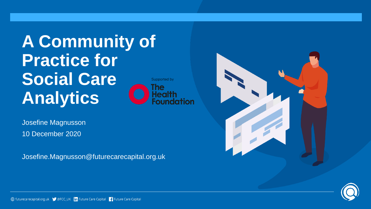**A Community of Practice for Social Care Analytics**



Josefine Magnusson 10 December 2020

Josefine.Magnusson@futurecarecapital.org.uk



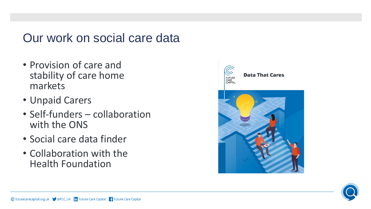# Our work on social care data

- Provision of care and stability of care home markets
- Unpaid Carers
- Self-funders collaboration with the ONS
- Social care data finder
- Collaboration with the Health Foundation



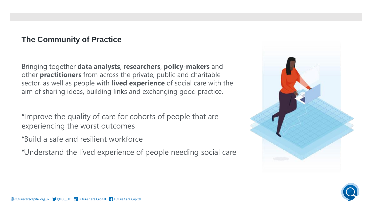#### **The Community of Practice**

Bringing together **data analysts**, **researchers**, **policy-makers** and other **practitioners** from across the private, public and charitable sector, as well as people with **lived experience** of social care with the aim of sharing ideas, building links and exchanging good practice.

•Improve the quality of care for cohorts of people that are experiencing the worst outcomes

- •Build a safe and resilient workforce
- •Understand the lived experience of people needing social care



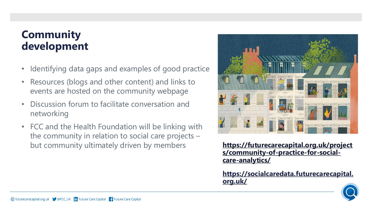### **Community development**

- Identifying data gaps and examples of good practice
- Resources (blogs and other content) and links to events are hosted on the community webpage
- Discussion forum to facilitate conversation and networking
- FCC and the Health Foundation will be linking with the community in relation to social care projects – but community ultimately driven by members



**[https://futurecarecapital.org.uk/project](https://futurecarecapital.org.uk/projects/community-of-practice-for-social-care-analytics/) s/community-of-practice-for-socialcare-analytics/**

**[https://socialcaredata.futurecarecapital.](https://socialcaredata.futurecarecapital.org.uk/) org.uk/**

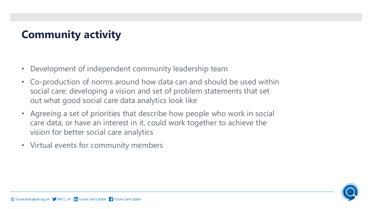## **Community activity**

- Development of independent community leadership team
- Co-production of norms around how data can and should be used within social care: developing a vision and set of problem statements that set out what good social care data analytics look like
- Agreeing a set of priorities that describe how people who work in social care data, or have an interest in it, could work together to achieve the vision for better social care analytics
- Virtual events for community members